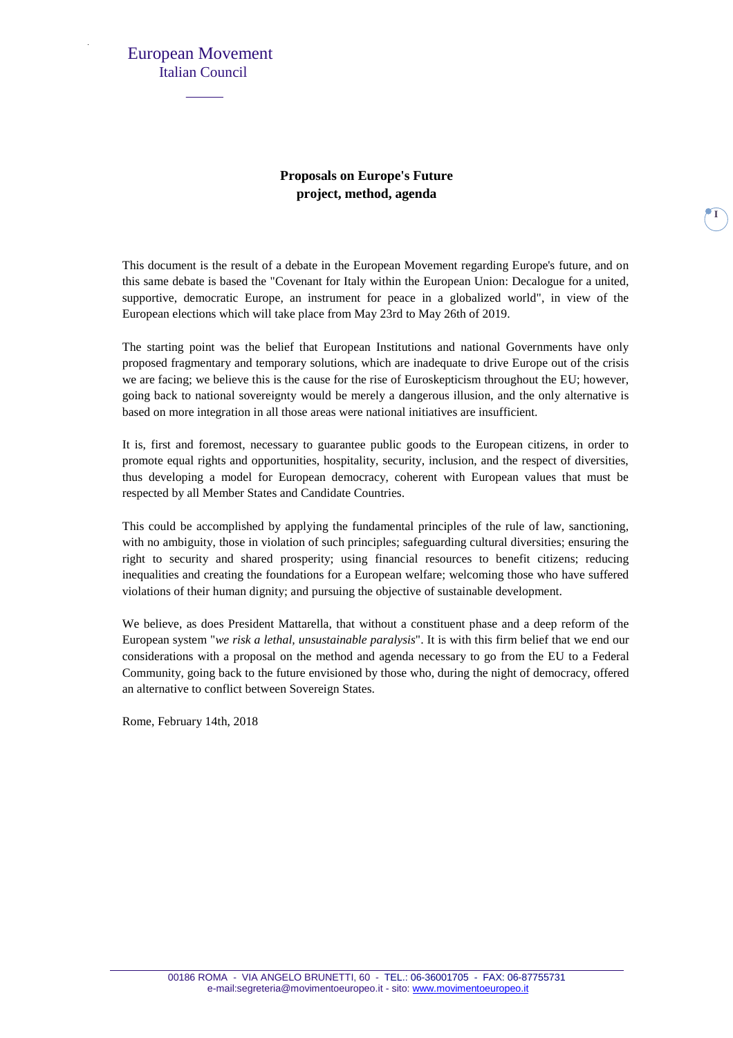#### **Proposals on Europe's Future project, method, agenda**

This document is the result of a debate in the European Movement regarding Europe's future, and on this same debate is based the "Covenant for Italy within the European Union: Decalogue for a united, supportive, democratic Europe, an instrument for peace in a globalized world", in view of the European elections which will take place from May 23rd to May 26th of 2019.

The starting point was the belief that European Institutions and national Governments have only proposed fragmentary and temporary solutions, which are inadequate to drive Europe out of the crisis we are facing; we believe this is the cause for the rise of Euroskepticism throughout the EU; however, going back to national sovereignty would be merely a dangerous illusion, and the only alternative is based on more integration in all those areas were national initiatives are insufficient.

It is, first and foremost, necessary to guarantee public goods to the European citizens, in order to promote equal rights and opportunities, hospitality, security, inclusion, and the respect of diversities, thus developing a model for European democracy, coherent with European values that must be respected by all Member States and Candidate Countries.

This could be accomplished by applying the fundamental principles of the rule of law, sanctioning, with no ambiguity, those in violation of such principles; safeguarding cultural diversities; ensuring the right to security and shared prosperity; using financial resources to benefit citizens; reducing inequalities and creating the foundations for a European welfare; welcoming those who have suffered violations of their human dignity; and pursuing the objective of sustainable development.

We believe, as does President Mattarella, that without a constituent phase and a deep reform of the European system "*we risk a lethal, unsustainable paralysis*". It is with this firm belief that we end our considerations with a proposal on the method and agenda necessary to go from the EU to a Federal Community, going back to the future envisioned by those who, during the night of democracy, offered an alternative to conflict between Sovereign States.

Rome, February 14th, 2018

**I**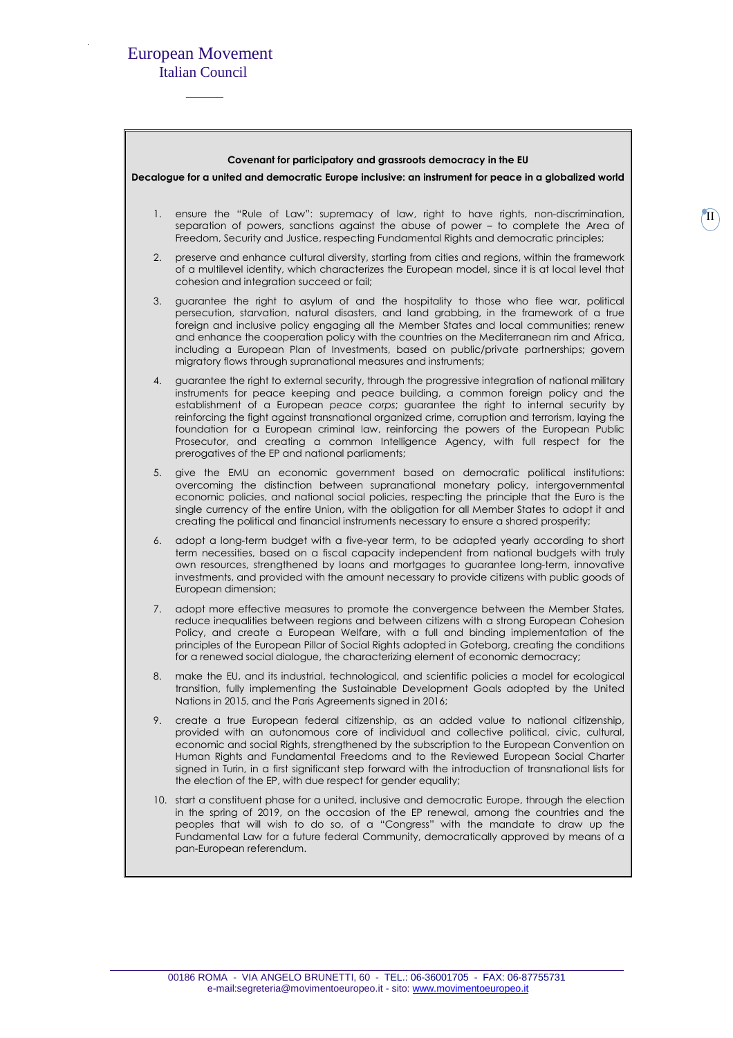# European Movement

Italian Council

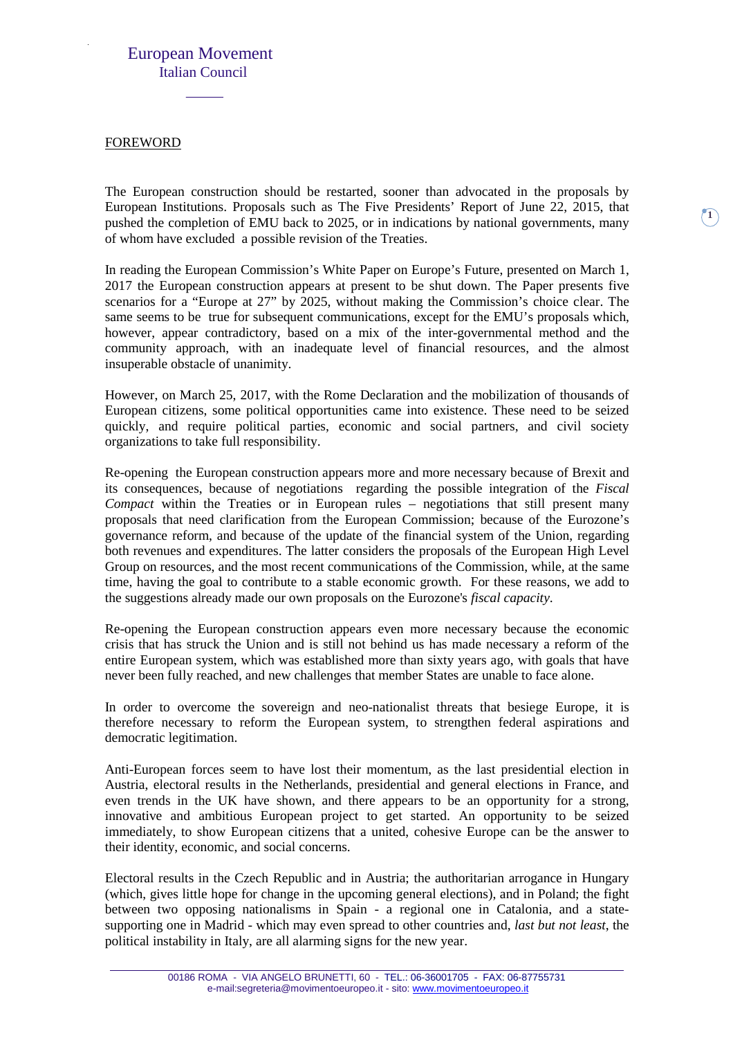#### FOREWORD

The European construction should be restarted, sooner than advocated in the proposals by European Institutions. Proposals such as The Five Presidents' Report of June 22, 2015, that pushed the completion of EMU back to 2025, or in indications by national governments, many of whom have excluded a possible revision of the Treaties.

 $\mathbf{I}$ 

In reading the European Commission's White Paper on Europe's Future, presented on March 1, 2017 the European construction appears at present to be shut down. The Paper presents five scenarios for a "Europe at 27" by 2025, without making the Commission's choice clear. The same seems to be true for subsequent communications, except for the EMU's proposals which, however, appear contradictory, based on a mix of the inter-governmental method and the community approach, with an inadequate level of financial resources, and the almost insuperable obstacle of unanimity.

However, on March 25, 2017, with the Rome Declaration and the mobilization of thousands of European citizens, some political opportunities came into existence. These need to be seized quickly, and require political parties, economic and social partners, and civil society organizations to take full responsibility.

Re-opening the European construction appears more and more necessary because of Brexit and its consequences, because of negotiations regarding the possible integration of the *Fiscal Compact* within the Treaties or in European rules – negotiations that still present many proposals that need clarification from the European Commission; because of the Eurozone's governance reform, and because of the update of the financial system of the Union, regarding both revenues and expenditures. The latter considers the proposals of the European High Level Group on resources, and the most recent communications of the Commission, while, at the same time, having the goal to contribute to a stable economic growth. For these reasons, we add to the suggestions already made our own proposals on the Eurozone's *fiscal capacity*.

Re-opening the European construction appears even more necessary because the economic crisis that has struck the Union and is still not behind us has made necessary a reform of the entire European system, which was established more than sixty years ago, with goals that have never been fully reached, and new challenges that member States are unable to face alone.

In order to overcome the sovereign and neo-nationalist threats that besiege Europe, it is therefore necessary to reform the European system, to strengthen federal aspirations and democratic legitimation.

Anti-European forces seem to have lost their momentum, as the last presidential election in Austria, electoral results in the Netherlands, presidential and general elections in France, and even trends in the UK have shown, and there appears to be an opportunity for a strong, innovative and ambitious European project to get started. An opportunity to be seized immediately, to show European citizens that a united, cohesive Europe can be the answer to their identity, economic, and social concerns.

Electoral results in the Czech Republic and in Austria; the authoritarian arrogance in Hungary (which, gives little hope for change in the upcoming general elections), and in Poland; the fight between two opposing nationalisms in Spain - a regional one in Catalonia, and a statesupporting one in Madrid - which may even spread to other countries and, *last but not least*, the political instability in Italy, are all alarming signs for the new year.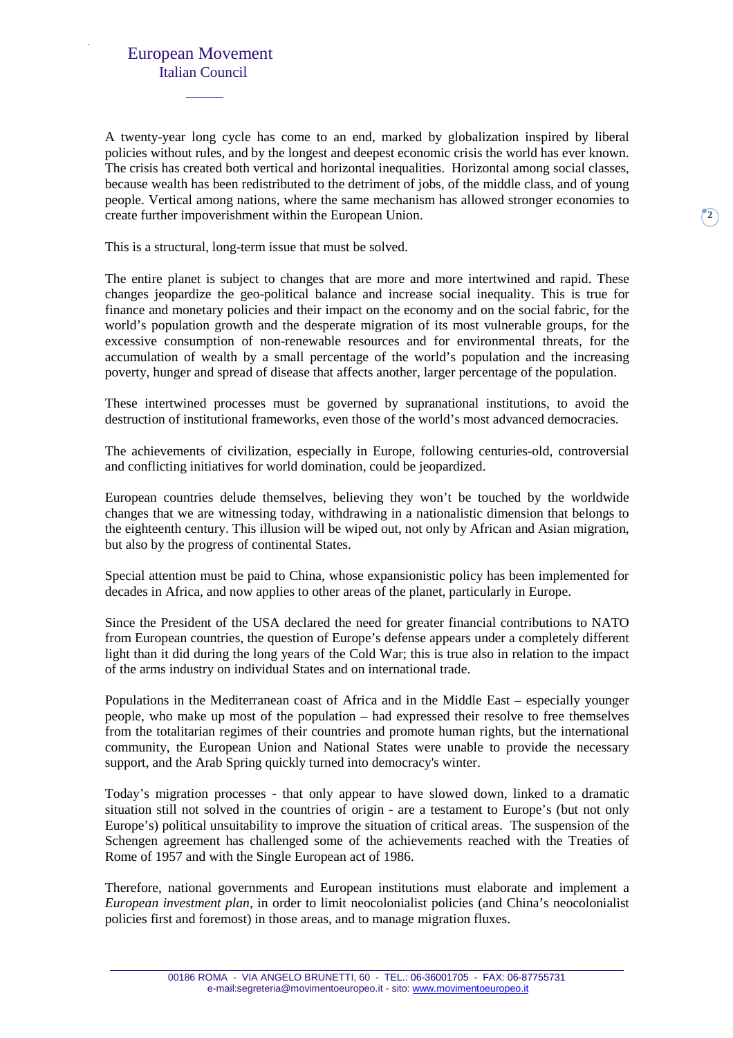A twenty-year long cycle has come to an end, marked by globalization inspired by liberal policies without rules, and by the longest and deepest economic crisis the world has ever known. The crisis has created both vertical and horizontal inequalities. Horizontal among social classes, because wealth has been redistributed to the detriment of jobs, of the middle class, and of young people. Vertical among nations, where the same mechanism has allowed stronger economies to create further impoverishment within the European Union.

This is a structural, long-term issue that must be solved.

The entire planet is subject to changes that are more and more intertwined and rapid. These changes jeopardize the geo-political balance and increase social inequality. This is true for finance and monetary policies and their impact on the economy and on the social fabric, for the world's population growth and the desperate migration of its most vulnerable groups, for the excessive consumption of non-renewable resources and for environmental threats, for the accumulation of wealth by a small percentage of the world's population and the increasing poverty, hunger and spread of disease that affects another, larger percentage of the population.

These intertwined processes must be governed by supranational institutions, to avoid the destruction of institutional frameworks, even those of the world's most advanced democracies.

The achievements of civilization, especially in Europe, following centuries-old, controversial and conflicting initiatives for world domination, could be jeopardized.

European countries delude themselves, believing they won't be touched by the worldwide changes that we are witnessing today, withdrawing in a nationalistic dimension that belongs to the eighteenth century. This illusion will be wiped out, not only by African and Asian migration, but also by the progress of continental States.

Special attention must be paid to China, whose expansionistic policy has been implemented for decades in Africa, and now applies to other areas of the planet, particularly in Europe.

Since the President of the USA declared the need for greater financial contributions to NATO from European countries, the question of Europe's defense appears under a completely different light than it did during the long years of the Cold War; this is true also in relation to the impact of the arms industry on individual States and on international trade.

Populations in the Mediterranean coast of Africa and in the Middle East – especially younger people, who make up most of the population – had expressed their resolve to free themselves from the totalitarian regimes of their countries and promote human rights, but the international community, the European Union and National States were unable to provide the necessary support, and the Arab Spring quickly turned into democracy's winter.

Today's migration processes - that only appear to have slowed down, linked to a dramatic situation still not solved in the countries of origin - are a testament to Europe's (but not only Europe's) political unsuitability to improve the situation of critical areas. The suspension of the Schengen agreement has challenged some of the achievements reached with the Treaties of Rome of 1957 and with the Single European act of 1986.

Therefore, national governments and European institutions must elaborate and implement a *European investment plan*, in order to limit neocolonialist policies (and China's neocolonialist policies first and foremost) in those areas, and to manage migration fluxes.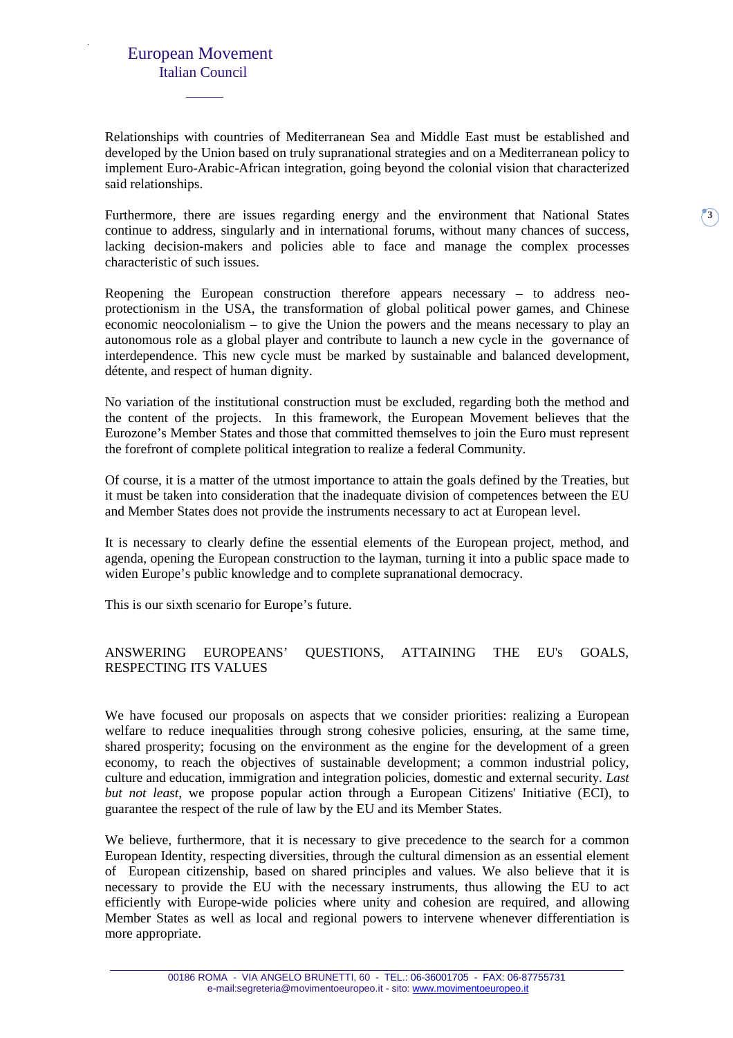Relationships with countries of Mediterranean Sea and Middle East must be established and developed by the Union based on truly supranational strategies and on a Mediterranean policy to implement Euro-Arabic-African integration, going beyond the colonial vision that characterized said relationships.

Furthermore, there are issues regarding energy and the environment that National States continue to address, singularly and in international forums, without many chances of success, lacking decision-makers and policies able to face and manage the complex processes characteristic of such issues.

Reopening the European construction therefore appears necessary – to address neoprotectionism in the USA, the transformation of global political power games, and Chinese economic neocolonialism – to give the Union the powers and the means necessary to play an autonomous role as a global player and contribute to launch a new cycle in the governance of interdependence. This new cycle must be marked by sustainable and balanced development, détente, and respect of human dignity.

No variation of the institutional construction must be excluded, regarding both the method and the content of the projects. In this framework, the European Movement believes that the Eurozone's Member States and those that committed themselves to join the Euro must represent the forefront of complete political integration to realize a federal Community.

Of course, it is a matter of the utmost importance to attain the goals defined by the Treaties, but it must be taken into consideration that the inadequate division of competences between the EU and Member States does not provide the instruments necessary to act at European level.

It is necessary to clearly define the essential elements of the European project, method, and agenda, opening the European construction to the layman, turning it into a public space made to widen Europe's public knowledge and to complete supranational democracy.

This is our sixth scenario for Europe's future.

#### ANSWERING EUROPEANS' QUESTIONS, ATTAINING THE EU's GOALS, RESPECTING ITS VALUES

We have focused our proposals on aspects that we consider priorities: realizing a European welfare to reduce inequalities through strong cohesive policies, ensuring, at the same time, shared prosperity; focusing on the environment as the engine for the development of a green economy, to reach the objectives of sustainable development; a common industrial policy, culture and education, immigration and integration policies, domestic and external security. *Last but not least*, we propose popular action through a European Citizens' Initiative (ECI), to guarantee the respect of the rule of law by the EU and its Member States.

We believe, furthermore, that it is necessary to give precedence to the search for a common European Identity, respecting diversities, through the cultural dimension as an essential element of European citizenship, based on shared principles and values. We also believe that it is necessary to provide the EU with the necessary instruments, thus allowing the EU to act efficiently with Europe-wide policies where unity and cohesion are required, and allowing Member States as well as local and regional powers to intervene whenever differentiation is more appropriate.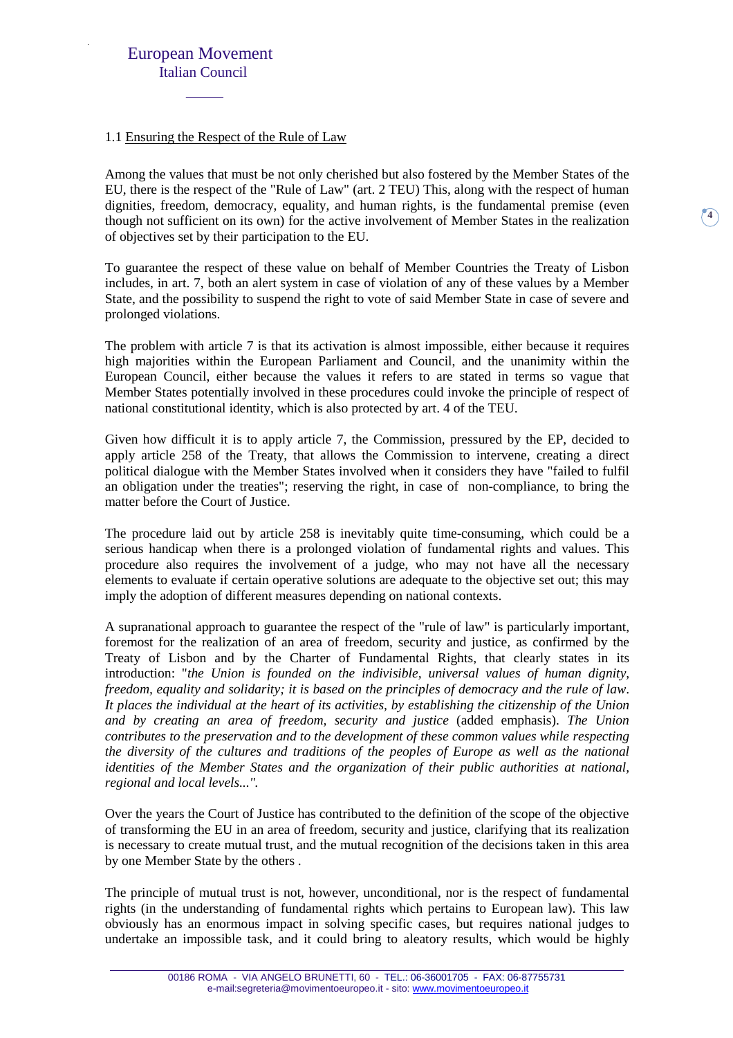#### 1.1 Ensuring the Respect of the Rule of Law

Among the values that must be not only cherished but also fostered by the Member States of the EU, there is the respect of the "Rule of Law" (art. 2 TEU) This, along with the respect of human dignities, freedom, democracy, equality, and human rights, is the fundamental premise (even though not sufficient on its own) for the active involvement of Member States in the realization of objectives set by their participation to the EU.

**4**

To guarantee the respect of these value on behalf of Member Countries the Treaty of Lisbon includes, in art. 7, both an alert system in case of violation of any of these values by a Member State, and the possibility to suspend the right to vote of said Member State in case of severe and prolonged violations.

The problem with article 7 is that its activation is almost impossible, either because it requires high majorities within the European Parliament and Council, and the unanimity within the European Council, either because the values it refers to are stated in terms so vague that Member States potentially involved in these procedures could invoke the principle of respect of national constitutional identity, which is also protected by art. 4 of the TEU.

Given how difficult it is to apply article 7, the Commission, pressured by the EP, decided to apply article 258 of the Treaty, that allows the Commission to intervene, creating a direct political dialogue with the Member States involved when it considers they have "failed to fulfil an obligation under the treaties"; reserving the right, in case of non-compliance, to bring the matter before the Court of Justice.

The procedure laid out by article 258 is inevitably quite time-consuming, which could be a serious handicap when there is a prolonged violation of fundamental rights and values. This procedure also requires the involvement of a judge, who may not have all the necessary elements to evaluate if certain operative solutions are adequate to the objective set out; this may imply the adoption of different measures depending on national contexts.

A supranational approach to guarantee the respect of the "rule of law" is particularly important, foremost for the realization of an area of freedom, security and justice, as confirmed by the Treaty of Lisbon and by the Charter of Fundamental Rights, that clearly states in its introduction: "*the Union is founded on the indivisible, universal values of human dignity, freedom, equality and solidarity; it is based on the principles of democracy and the rule of law*. *It places the individual at the heart of its activities, by establishing the citizenship of the Union and by creating an area of freedom, security and justice* (added emphasis). *The Union contributes to the preservation and to the development of these common values while respecting the diversity of the cultures and traditions of the peoples of Europe as well as the national identities of the Member States and the organization of their public authorities at national, regional and local levels...".* 

Over the years the Court of Justice has contributed to the definition of the scope of the objective of transforming the EU in an area of freedom, security and justice, clarifying that its realization is necessary to create mutual trust, and the mutual recognition of the decisions taken in this area by one Member State by the others .

The principle of mutual trust is not, however, unconditional, nor is the respect of fundamental rights (in the understanding of fundamental rights which pertains to European law). This law obviously has an enormous impact in solving specific cases, but requires national judges to undertake an impossible task, and it could bring to aleatory results, which would be highly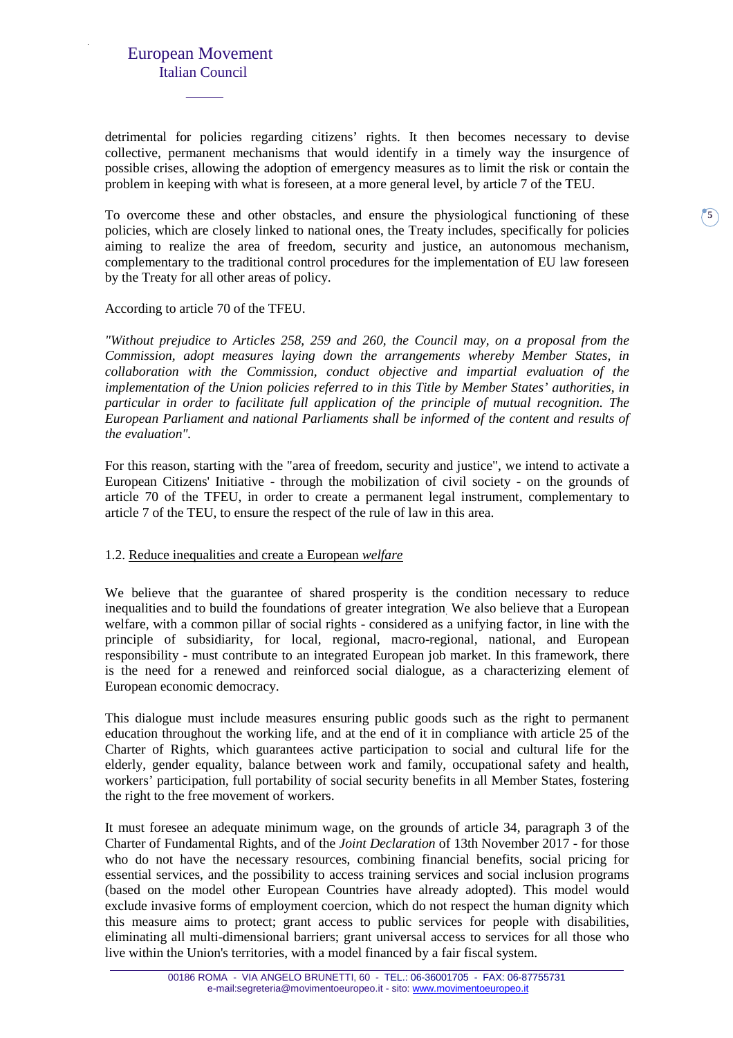detrimental for policies regarding citizens' rights. It then becomes necessary to devise collective, permanent mechanisms that would identify in a timely way the insurgence of possible crises, allowing the adoption of emergency measures as to limit the risk or contain the problem in keeping with what is foreseen, at a more general level, by article 7 of the TEU.

To overcome these and other obstacles, and ensure the physiological functioning of these policies, which are closely linked to national ones, the Treaty includes, specifically for policies aiming to realize the area of freedom, security and justice, an autonomous mechanism, complementary to the traditional control procedures for the implementation of EU law foreseen by the Treaty for all other areas of policy.

**5**

#### According to article 70 of the TFEU.

*"Without prejudice to Articles 258, 259 and 260, the Council may, on a proposal from the Commission, adopt measures laying down the arrangements whereby Member States, in collaboration with the Commission, conduct objective and impartial evaluation of the implementation of the Union policies referred to in this Title by Member States' authorities, in particular in order to facilitate full application of the principle of mutual recognition. The European Parliament and national Parliaments shall be informed of the content and results of the evaluation".* 

For this reason, starting with the "area of freedom, security and justice", we intend to activate a European Citizens' Initiative - through the mobilization of civil society - on the grounds of article 70 of the TFEU, in order to create a permanent legal instrument, complementary to article 7 of the TEU, to ensure the respect of the rule of law in this area.

#### 1.2. Reduce inequalities and create a European *welfare*

We believe that the guarantee of shared prosperity is the condition necessary to reduce inequalities and to build the foundations of greater integration. We also believe that a European welfare, with a common pillar of social rights - considered as a unifying factor, in line with the principle of subsidiarity, for local, regional, macro-regional, national, and European responsibility - must contribute to an integrated European job market. In this framework, there is the need for a renewed and reinforced social dialogue, as a characterizing element of European economic democracy.

This dialogue must include measures ensuring public goods such as the right to permanent education throughout the working life, and at the end of it in compliance with article 25 of the Charter of Rights, which guarantees active participation to social and cultural life for the elderly, gender equality, balance between work and family, occupational safety and health, workers' participation, full portability of social security benefits in all Member States, fostering the right to the free movement of workers.

It must foresee an adequate minimum wage, on the grounds of article 34, paragraph 3 of the Charter of Fundamental Rights, and of the *Joint Declaration* of 13th November 2017 - for those who do not have the necessary resources, combining financial benefits, social pricing for essential services, and the possibility to access training services and social inclusion programs (based on the model other European Countries have already adopted). This model would exclude invasive forms of employment coercion, which do not respect the human dignity which this measure aims to protect; grant access to public services for people with disabilities, eliminating all multi-dimensional barriers; grant universal access to services for all those who live within the Union's territories, with a model financed by a fair fiscal system.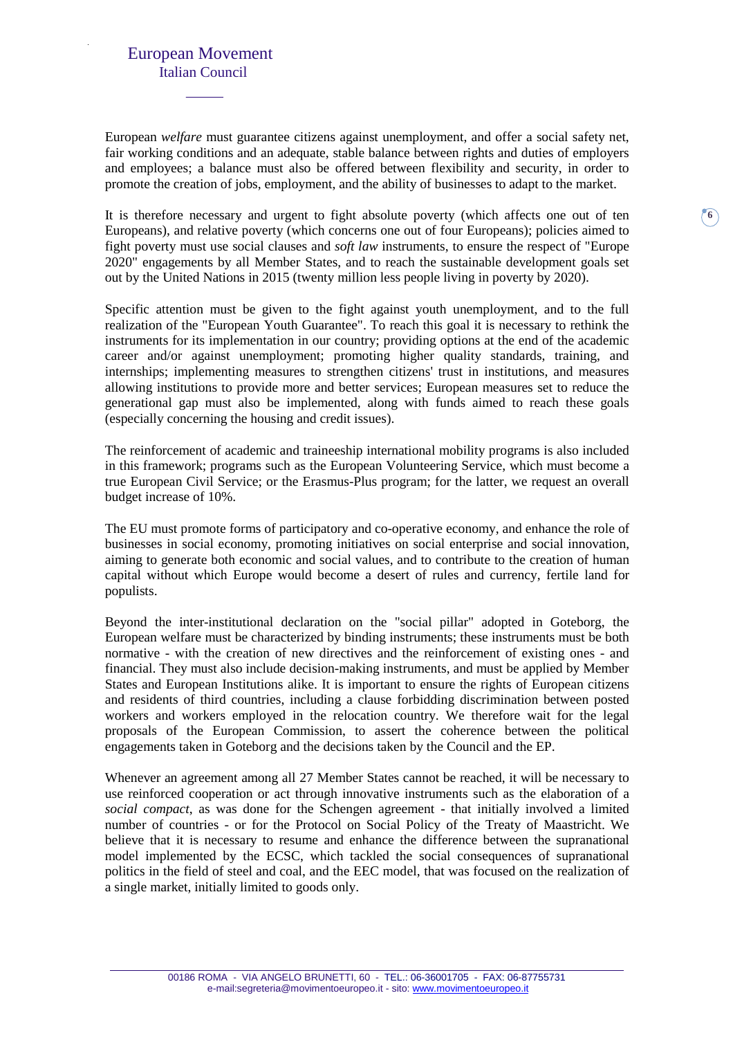European *welfare* must guarantee citizens against unemployment, and offer a social safety net, fair working conditions and an adequate, stable balance between rights and duties of employers and employees; a balance must also be offered between flexibility and security, in order to promote the creation of jobs, employment, and the ability of businesses to adapt to the market.

It is therefore necessary and urgent to fight absolute poverty (which affects one out of ten Europeans), and relative poverty (which concerns one out of four Europeans); policies aimed to fight poverty must use social clauses and *soft law* instruments, to ensure the respect of "Europe 2020" engagements by all Member States, and to reach the sustainable development goals set out by the United Nations in 2015 (twenty million less people living in poverty by 2020).

**6**

Specific attention must be given to the fight against youth unemployment, and to the full realization of the "European Youth Guarantee". To reach this goal it is necessary to rethink the instruments for its implementation in our country; providing options at the end of the academic career and/or against unemployment; promoting higher quality standards, training, and internships; implementing measures to strengthen citizens' trust in institutions, and measures allowing institutions to provide more and better services; European measures set to reduce the generational gap must also be implemented, along with funds aimed to reach these goals (especially concerning the housing and credit issues).

The reinforcement of academic and traineeship international mobility programs is also included in this framework; programs such as the European Volunteering Service, which must become a true European Civil Service; or the Erasmus-Plus program; for the latter, we request an overall budget increase of 10%.

The EU must promote forms of participatory and co-operative economy, and enhance the role of businesses in social economy, promoting initiatives on social enterprise and social innovation, aiming to generate both economic and social values, and to contribute to the creation of human capital without which Europe would become a desert of rules and currency, fertile land for populists.

Beyond the inter-institutional declaration on the "social pillar" adopted in Goteborg, the European welfare must be characterized by binding instruments; these instruments must be both normative - with the creation of new directives and the reinforcement of existing ones - and financial. They must also include decision-making instruments, and must be applied by Member States and European Institutions alike. It is important to ensure the rights of European citizens and residents of third countries, including a clause forbidding discrimination between posted workers and workers employed in the relocation country. We therefore wait for the legal proposals of the European Commission, to assert the coherence between the political engagements taken in Goteborg and the decisions taken by the Council and the EP.

Whenever an agreement among all 27 Member States cannot be reached, it will be necessary to use reinforced cooperation or act through innovative instruments such as the elaboration of a *social compact*, as was done for the Schengen agreement - that initially involved a limited number of countries - or for the Protocol on Social Policy of the Treaty of Maastricht. We believe that it is necessary to resume and enhance the difference between the supranational model implemented by the ECSC, which tackled the social consequences of supranational politics in the field of steel and coal, and the EEC model, that was focused on the realization of a single market, initially limited to goods only.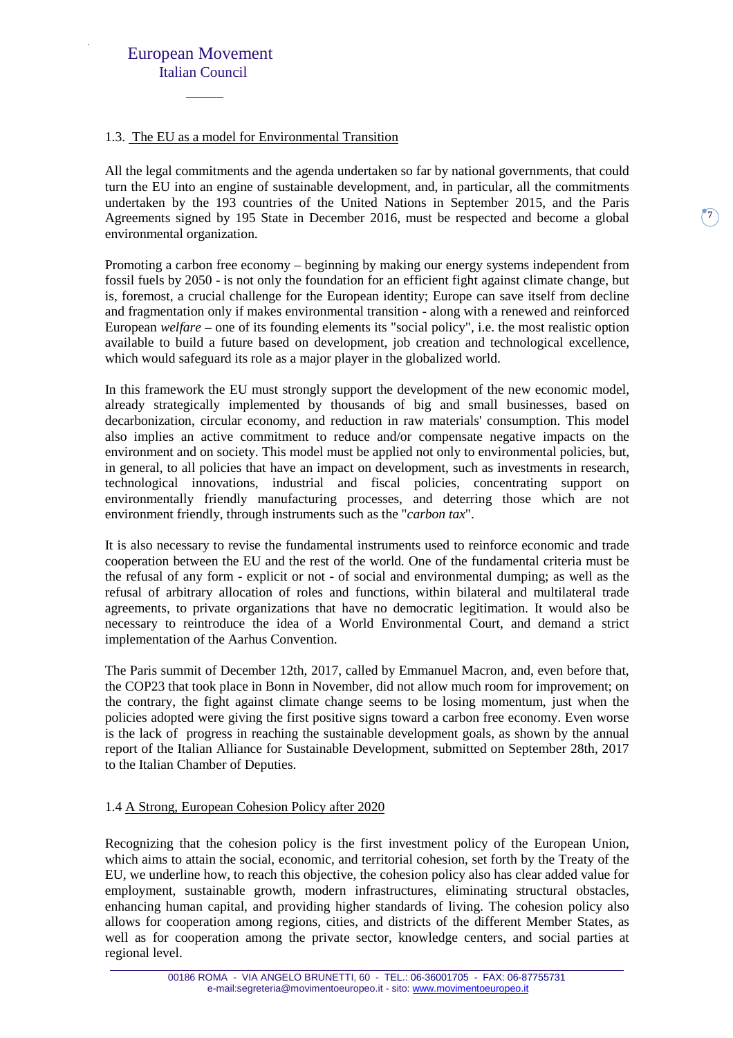#### 1.3. The EU as a model for Environmental Transition

All the legal commitments and the agenda undertaken so far by national governments, that could turn the EU into an engine of sustainable development, and, in particular, all the commitments undertaken by the 193 countries of the United Nations in September 2015, and the Paris Agreements signed by 195 State in December 2016, must be respected and become a global environmental organization.

Promoting a carbon free economy – beginning by making our energy systems independent from fossil fuels by 2050 - is not only the foundation for an efficient fight against climate change, but is, foremost, a crucial challenge for the European identity; Europe can save itself from decline and fragmentation only if makes environmental transition - along with a renewed and reinforced European *welfare* – one of its founding elements its "social policy", i.e. the most realistic option available to build a future based on development, job creation and technological excellence, which would safeguard its role as a major player in the globalized world.

In this framework the EU must strongly support the development of the new economic model, already strategically implemented by thousands of big and small businesses, based on decarbonization, circular economy, and reduction in raw materials' consumption. This model also implies an active commitment to reduce and/or compensate negative impacts on the environment and on society. This model must be applied not only to environmental policies, but, in general, to all policies that have an impact on development, such as investments in research, technological innovations, industrial and fiscal policies, concentrating support on environmentally friendly manufacturing processes, and deterring those which are not environment friendly, through instruments such as the "*carbon tax*".

It is also necessary to revise the fundamental instruments used to reinforce economic and trade cooperation between the EU and the rest of the world. One of the fundamental criteria must be the refusal of any form - explicit or not - of social and environmental dumping; as well as the refusal of arbitrary allocation of roles and functions, within bilateral and multilateral trade agreements, to private organizations that have no democratic legitimation. It would also be necessary to reintroduce the idea of a World Environmental Court, and demand a strict implementation of the Aarhus Convention.

The Paris summit of December 12th, 2017, called by Emmanuel Macron, and, even before that, the COP23 that took place in Bonn in November, did not allow much room for improvement; on the contrary, the fight against climate change seems to be losing momentum, just when the policies adopted were giving the first positive signs toward a carbon free economy. Even worse is the lack of progress in reaching the sustainable development goals, as shown by the annual report of the Italian Alliance for Sustainable Development, submitted on September 28th, 2017 to the Italian Chamber of Deputies.

#### 1.4 A Strong, European Cohesion Policy after 2020

Recognizing that the cohesion policy is the first investment policy of the European Union, which aims to attain the social, economic, and territorial cohesion, set forth by the Treaty of the EU, we underline how, to reach this objective, the cohesion policy also has clear added value for employment, sustainable growth, modern infrastructures, eliminating structural obstacles, enhancing human capital, and providing higher standards of living. The cohesion policy also allows for cooperation among regions, cities, and districts of the different Member States, as well as for cooperation among the private sector, knowledge centers, and social parties at regional level.

**7**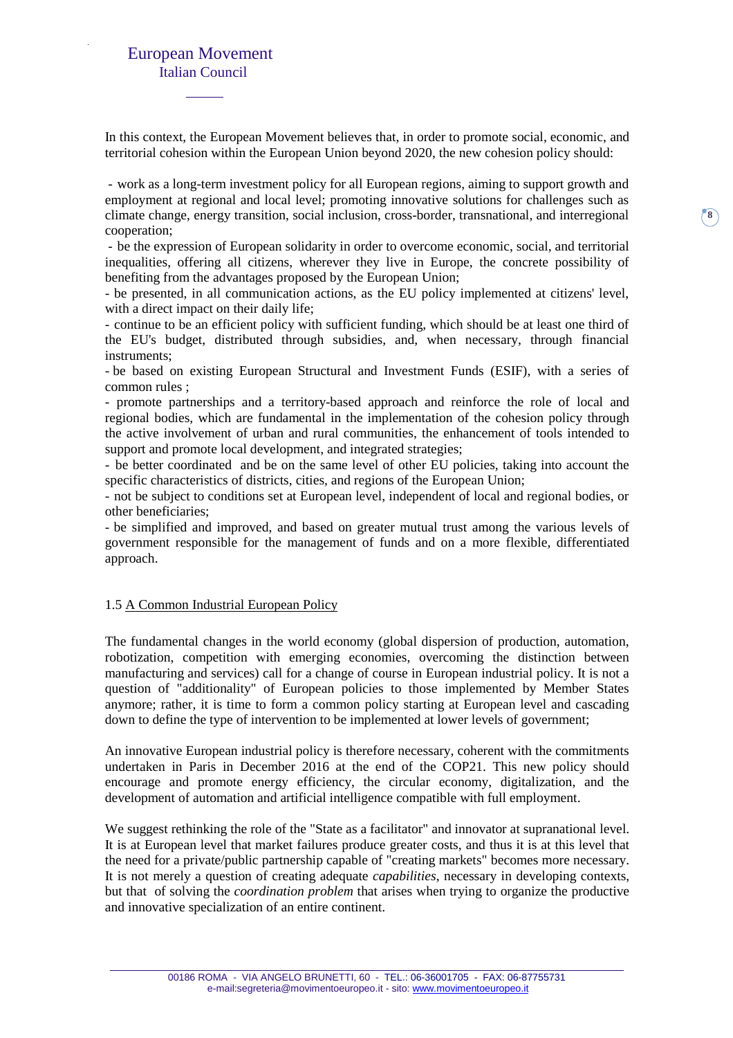In this context, the European Movement believes that, in order to promote social, economic, and territorial cohesion within the European Union beyond 2020, the new cohesion policy should:

- work as a long-term investment policy for all European regions, aiming to support growth and employment at regional and local level; promoting innovative solutions for challenges such as climate change, energy transition, social inclusion, cross-border, transnational, and interregional cooperation;

- be the expression of European solidarity in order to overcome economic, social, and territorial inequalities, offering all citizens, wherever they live in Europe, the concrete possibility of benefiting from the advantages proposed by the European Union;

- be presented, in all communication actions, as the EU policy implemented at citizens' level, with a direct impact on their daily life;

- continue to be an efficient policy with sufficient funding, which should be at least one third of the EU's budget, distributed through subsidies, and, when necessary, through financial instruments;

- be based on existing European Structural and Investment Funds (ESIF), with a series of common rules ;

- promote partnerships and a territory-based approach and reinforce the role of local and regional bodies, which are fundamental in the implementation of the cohesion policy through the active involvement of urban and rural communities, the enhancement of tools intended to support and promote local development, and integrated strategies;

- be better coordinated and be on the same level of other EU policies, taking into account the specific characteristics of districts, cities, and regions of the European Union;

- not be subject to conditions set at European level, independent of local and regional bodies, or other beneficiaries;

- be simplified and improved, and based on greater mutual trust among the various levels of government responsible for the management of funds and on a more flexible, differentiated approach.

#### 1.5 A Common Industrial European Policy

The fundamental changes in the world economy (global dispersion of production, automation, robotization, competition with emerging economies, overcoming the distinction between manufacturing and services) call for a change of course in European industrial policy. It is not a question of "additionality" of European policies to those implemented by Member States anymore; rather, it is time to form a common policy starting at European level and cascading down to define the type of intervention to be implemented at lower levels of government;

An innovative European industrial policy is therefore necessary, coherent with the commitments undertaken in Paris in December 2016 at the end of the COP21. This new policy should encourage and promote energy efficiency, the circular economy, digitalization, and the development of automation and artificial intelligence compatible with full employment.

We suggest rethinking the role of the "State as a facilitator" and innovator at supranational level. It is at European level that market failures produce greater costs, and thus it is at this level that the need for a private/public partnership capable of "creating markets" becomes more necessary. It is not merely a question of creating adequate *capabilities*, necessary in developing contexts, but that of solving the *coordination problem* that arises when trying to organize the productive and innovative specialization of an entire continent.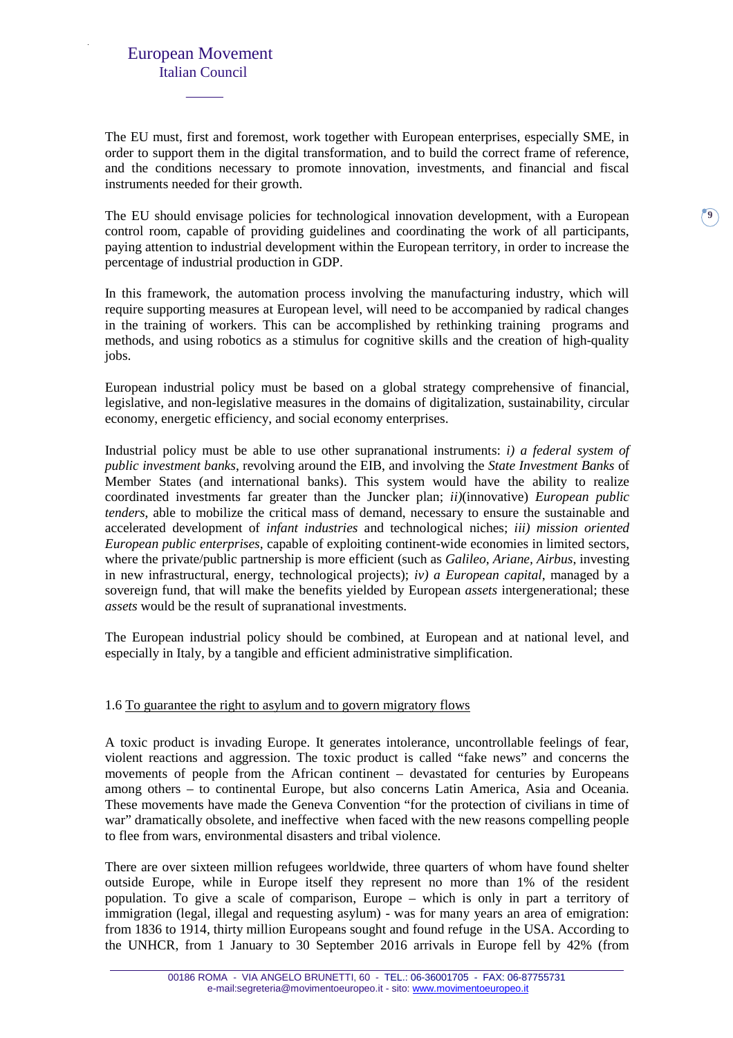The EU must, first and foremost, work together with European enterprises, especially SME, in order to support them in the digital transformation, and to build the correct frame of reference, and the conditions necessary to promote innovation, investments, and financial and fiscal instruments needed for their growth.

The EU should envisage policies for technological innovation development, with a European control room, capable of providing guidelines and coordinating the work of all participants, paying attention to industrial development within the European territory, in order to increase the percentage of industrial production in GDP.

**9**

In this framework, the automation process involving the manufacturing industry, which will require supporting measures at European level, will need to be accompanied by radical changes in the training of workers. This can be accomplished by rethinking training programs and methods, and using robotics as a stimulus for cognitive skills and the creation of high-quality jobs.

European industrial policy must be based on a global strategy comprehensive of financial, legislative, and non-legislative measures in the domains of digitalization, sustainability, circular economy, energetic efficiency, and social economy enterprises.

Industrial policy must be able to use other supranational instruments: *i) a federal system of public investment banks*, revolving around the EIB, and involving the *State Investment Banks* of Member States (and international banks). This system would have the ability to realize coordinated investments far greater than the Juncker plan; *ii)*(innovative) *European public tenders*, able to mobilize the critical mass of demand, necessary to ensure the sustainable and accelerated development of *infant industries* and technological niches; *iii) mission oriented European public enterprises*, capable of exploiting continent-wide economies in limited sectors, where the private/public partnership is more efficient (such as *Galileo, Ariane, Airbus*, investing in new infrastructural, energy, technological projects); *iv) a European capital*, managed by a sovereign fund, that will make the benefits yielded by European *assets* intergenerational; these *assets* would be the result of supranational investments.

The European industrial policy should be combined, at European and at national level, and especially in Italy, by a tangible and efficient administrative simplification.

#### 1.6 To guarantee the right to asylum and to govern migratory flows

A toxic product is invading Europe. It generates intolerance, uncontrollable feelings of fear, violent reactions and aggression. The toxic product is called "fake news" and concerns the movements of people from the African continent – devastated for centuries by Europeans among others – to continental Europe, but also concerns Latin America, Asia and Oceania. These movements have made the Geneva Convention "for the protection of civilians in time of war" dramatically obsolete, and ineffective when faced with the new reasons compelling people to flee from wars, environmental disasters and tribal violence.

There are over sixteen million refugees worldwide, three quarters of whom have found shelter outside Europe, while in Europe itself they represent no more than 1% of the resident population. To give a scale of comparison, Europe – which is only in part a territory of immigration (legal, illegal and requesting asylum) - was for many years an area of emigration: from 1836 to 1914, thirty million Europeans sought and found refuge in the USA. According to the UNHCR, from 1 January to 30 September 2016 arrivals in Europe fell by 42% (from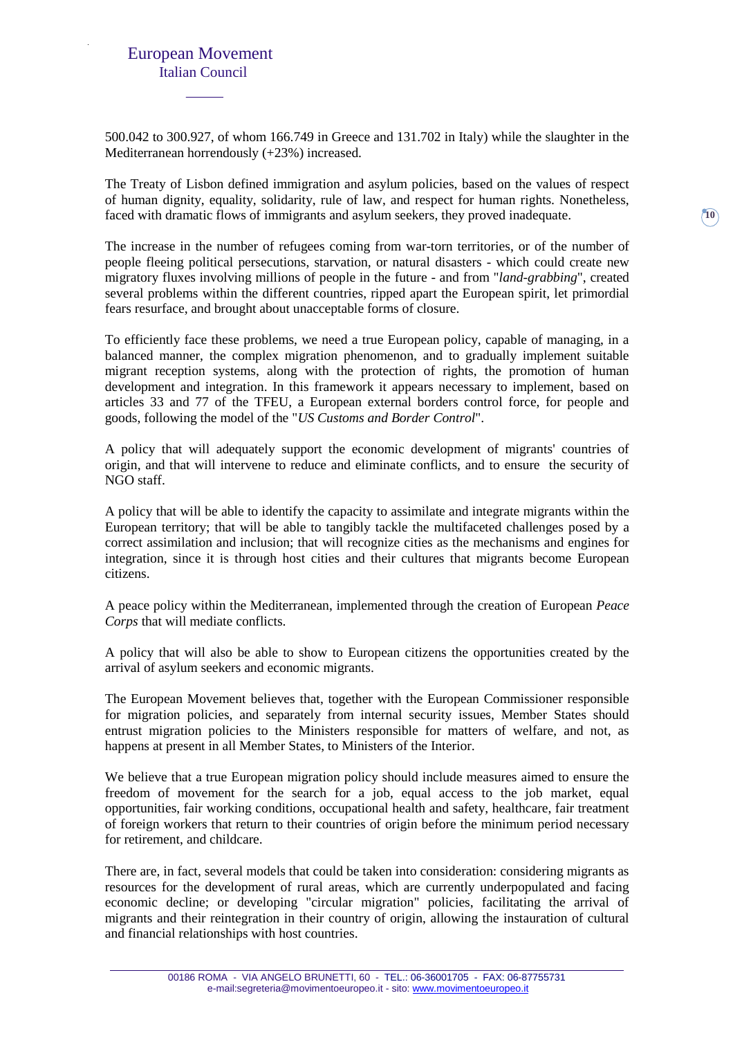500.042 to 300.927, of whom 166.749 in Greece and 131.702 in Italy) while the slaughter in the Mediterranean horrendously (+23%) increased.

The Treaty of Lisbon defined immigration and asylum policies, based on the values of respect of human dignity, equality, solidarity, rule of law, and respect for human rights. Nonetheless, faced with dramatic flows of immigrants and asylum seekers, they proved inadequate.

The increase in the number of refugees coming from war-torn territories, or of the number of people fleeing political persecutions, starvation, or natural disasters - which could create new migratory fluxes involving millions of people in the future - and from "*land-grabbing*", created several problems within the different countries, ripped apart the European spirit, let primordial fears resurface, and brought about unacceptable forms of closure.

To efficiently face these problems, we need a true European policy, capable of managing, in a balanced manner, the complex migration phenomenon, and to gradually implement suitable migrant reception systems, along with the protection of rights, the promotion of human development and integration. In this framework it appears necessary to implement, based on articles 33 and 77 of the TFEU, a European external borders control force, for people and goods, following the model of the "*US Customs and Border Control*".

A policy that will adequately support the economic development of migrants' countries of origin, and that will intervene to reduce and eliminate conflicts, and to ensure the security of NGO staff.

A policy that will be able to identify the capacity to assimilate and integrate migrants within the European territory; that will be able to tangibly tackle the multifaceted challenges posed by a correct assimilation and inclusion; that will recognize cities as the mechanisms and engines for integration, since it is through host cities and their cultures that migrants become European citizens.

A peace policy within the Mediterranean, implemented through the creation of European *Peace Corps* that will mediate conflicts.

A policy that will also be able to show to European citizens the opportunities created by the arrival of asylum seekers and economic migrants.

The European Movement believes that, together with the European Commissioner responsible for migration policies, and separately from internal security issues, Member States should entrust migration policies to the Ministers responsible for matters of welfare, and not, as happens at present in all Member States, to Ministers of the Interior.

We believe that a true European migration policy should include measures aimed to ensure the freedom of movement for the search for a job, equal access to the job market, equal opportunities, fair working conditions, occupational health and safety, healthcare, fair treatment of foreign workers that return to their countries of origin before the minimum period necessary for retirement, and childcare.

There are, in fact, several models that could be taken into consideration: considering migrants as resources for the development of rural areas, which are currently underpopulated and facing economic decline; or developing "circular migration" policies, facilitating the arrival of migrants and their reintegration in their country of origin, allowing the instauration of cultural and financial relationships with host countries.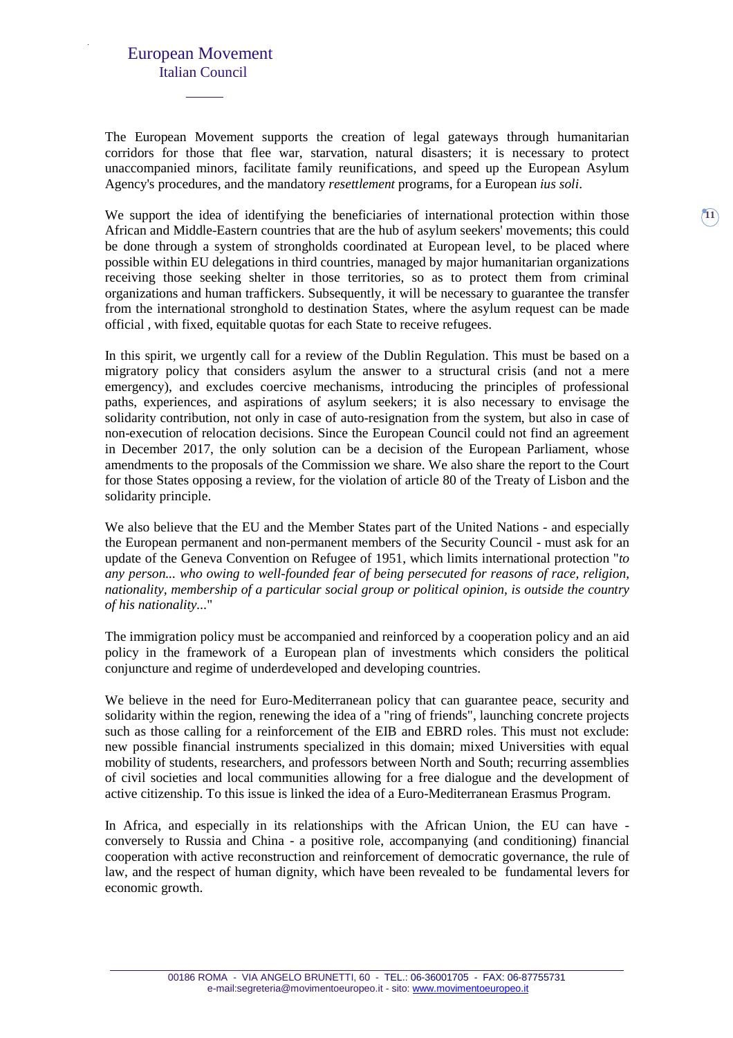The European Movement supports the creation of legal gateways through humanitarian corridors for those that flee war, starvation, natural disasters; it is necessary to protect unaccompanied minors, facilitate family reunifications, and speed up the European Asylum Agency's procedures, and the mandatory *resettlement* programs, for a European *ius soli*.

We support the idea of identifying the beneficiaries of international protection within those African and Middle-Eastern countries that are the hub of asylum seekers' movements; this could be done through a system of strongholds coordinated at European level, to be placed where possible within EU delegations in third countries, managed by major humanitarian organizations receiving those seeking shelter in those territories, so as to protect them from criminal organizations and human traffickers. Subsequently, it will be necessary to guarantee the transfer from the international stronghold to destination States, where the asylum request can be made official , with fixed, equitable quotas for each State to receive refugees.

In this spirit, we urgently call for a review of the Dublin Regulation. This must be based on a migratory policy that considers asylum the answer to a structural crisis (and not a mere emergency), and excludes coercive mechanisms, introducing the principles of professional paths, experiences, and aspirations of asylum seekers; it is also necessary to envisage the solidarity contribution, not only in case of auto-resignation from the system, but also in case of non-execution of relocation decisions. Since the European Council could not find an agreement in December 2017, the only solution can be a decision of the European Parliament, whose amendments to the proposals of the Commission we share. We also share the report to the Court for those States opposing a review, for the violation of article 80 of the Treaty of Lisbon and the solidarity principle.

We also believe that the EU and the Member States part of the United Nations - and especially the European permanent and non-permanent members of the Security Council - must ask for an update of the Geneva Convention on Refugee of 1951, which limits international protection "*to any person... who owing to well-founded fear of being persecuted for reasons of race, religion, nationality, membership of a particular social group or political opinion, is outside the country of his nationality...*"

The immigration policy must be accompanied and reinforced by a cooperation policy and an aid policy in the framework of a European plan of investments which considers the political conjuncture and regime of underdeveloped and developing countries.

We believe in the need for Euro-Mediterranean policy that can guarantee peace, security and solidarity within the region, renewing the idea of a "ring of friends", launching concrete projects such as those calling for a reinforcement of the EIB and EBRD roles. This must not exclude: new possible financial instruments specialized in this domain; mixed Universities with equal mobility of students, researchers, and professors between North and South; recurring assemblies of civil societies and local communities allowing for a free dialogue and the development of active citizenship. To this issue is linked the idea of a Euro-Mediterranean Erasmus Program.

In Africa, and especially in its relationships with the African Union, the EU can have conversely to Russia and China - a positive role, accompanying (and conditioning) financial cooperation with active reconstruction and reinforcement of democratic governance, the rule of law, and the respect of human dignity, which have been revealed to be fundamental levers for economic growth.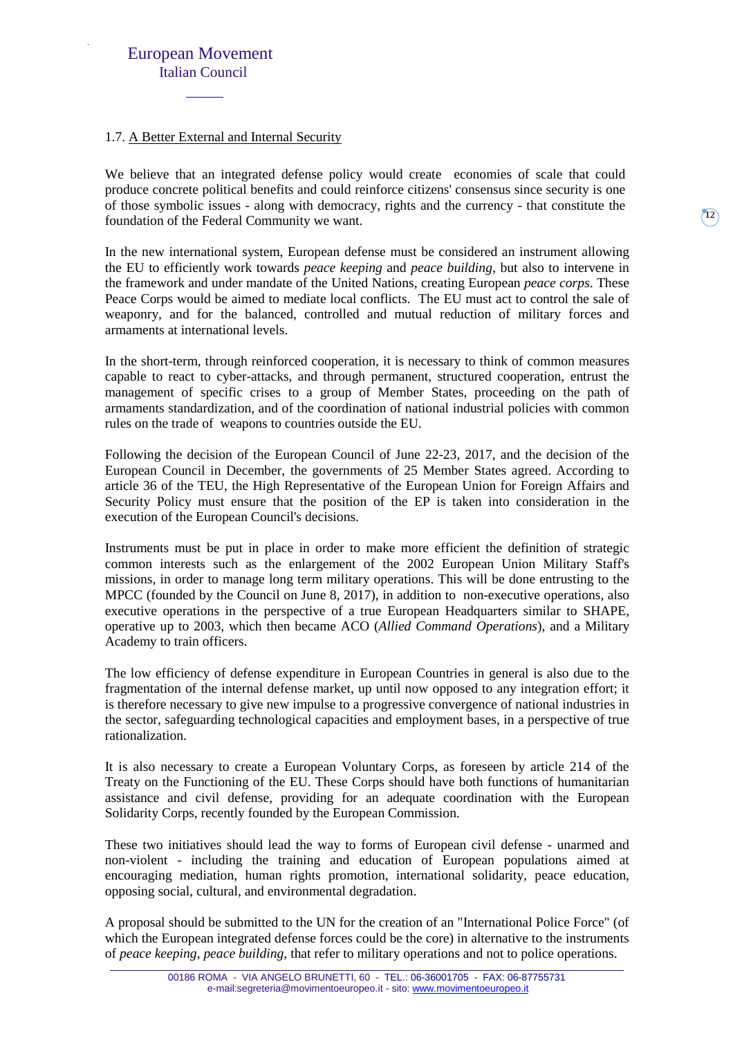#### 1.7. A Better External and Internal Security

We believe that an integrated defense policy would create economies of scale that could produce concrete political benefits and could reinforce citizens' consensus since security is one of those symbolic issues - along with democracy, rights and the currency - that constitute the foundation of the Federal Community we want.

In the new international system, European defense must be considered an instrument allowing the EU to efficiently work towards *peace keeping* and *peace building*, but also to intervene in the framework and under mandate of the United Nations, creating European *peace corps*. These Peace Corps would be aimed to mediate local conflicts. The EU must act to control the sale of weaponry, and for the balanced, controlled and mutual reduction of military forces and armaments at international levels.

In the short-term, through reinforced cooperation, it is necessary to think of common measures capable to react to cyber-attacks, and through permanent, structured cooperation, entrust the management of specific crises to a group of Member States, proceeding on the path of armaments standardization, and of the coordination of national industrial policies with common rules on the trade of weapons to countries outside the EU.

Following the decision of the European Council of June 22-23, 2017, and the decision of the European Council in December, the governments of 25 Member States agreed. According to article 36 of the TEU, the High Representative of the European Union for Foreign Affairs and Security Policy must ensure that the position of the EP is taken into consideration in the execution of the European Council's decisions.

Instruments must be put in place in order to make more efficient the definition of strategic common interests such as the enlargement of the 2002 European Union Military Staff's missions, in order to manage long term military operations. This will be done entrusting to the MPCC (founded by the Council on June 8, 2017), in addition to non-executive operations, also executive operations in the perspective of a true European Headquarters similar to SHAPE, operative up to 2003, which then became ACO (*Allied Command Operations*), and a Military Academy to train officers.

The low efficiency of defense expenditure in European Countries in general is also due to the fragmentation of the internal defense market, up until now opposed to any integration effort; it is therefore necessary to give new impulse to a progressive convergence of national industries in the sector, safeguarding technological capacities and employment bases, in a perspective of true rationalization.

It is also necessary to create a European Voluntary Corps, as foreseen by article 214 of the Treaty on the Functioning of the EU. These Corps should have both functions of humanitarian assistance and civil defense, providing for an adequate coordination with the European Solidarity Corps, recently founded by the European Commission.

These two initiatives should lead the way to forms of European civil defense - unarmed and non-violent - including the training and education of European populations aimed at encouraging mediation, human rights promotion, international solidarity, peace education, opposing social, cultural, and environmental degradation.

A proposal should be submitted to the UN for the creation of an "International Police Force" (of which the European integrated defense forces could be the core) in alternative to the instruments of *peace keeping*, *peace building*, that refer to military operations and not to police operations.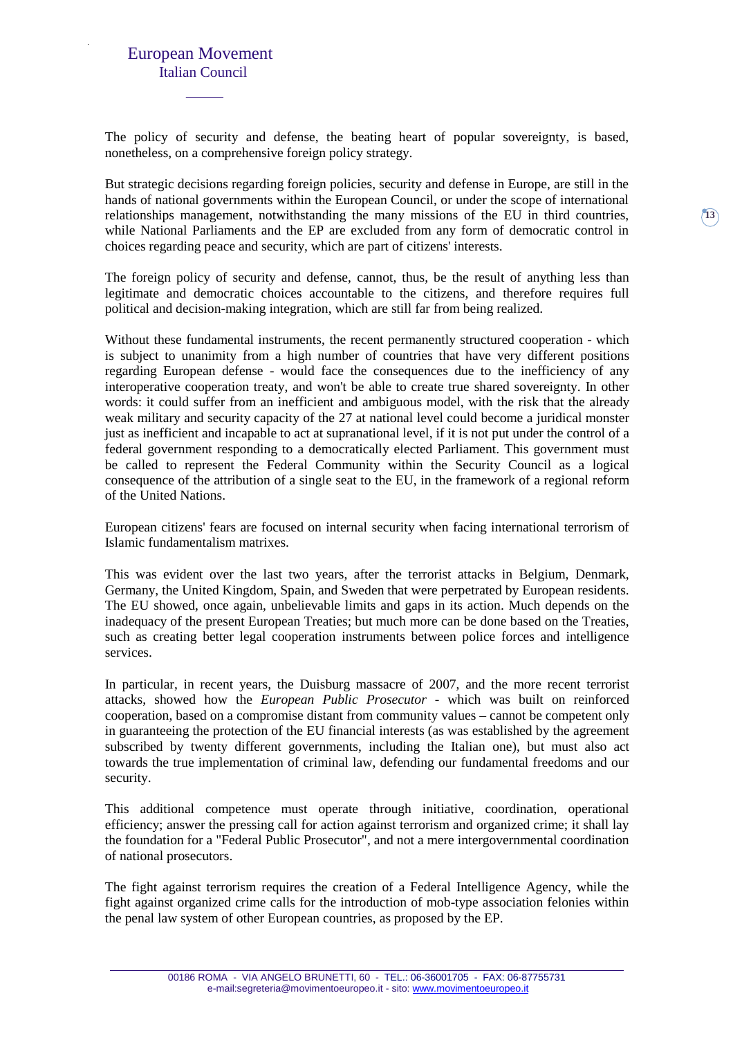The policy of security and defense, the beating heart of popular sovereignty, is based, nonetheless, on a comprehensive foreign policy strategy.

But strategic decisions regarding foreign policies, security and defense in Europe, are still in the hands of national governments within the European Council, or under the scope of international relationships management, notwithstanding the many missions of the EU in third countries, while National Parliaments and the EP are excluded from any form of democratic control in choices regarding peace and security, which are part of citizens' interests.

The foreign policy of security and defense, cannot, thus, be the result of anything less than legitimate and democratic choices accountable to the citizens, and therefore requires full political and decision-making integration, which are still far from being realized.

Without these fundamental instruments, the recent permanently structured cooperation - which is subject to unanimity from a high number of countries that have very different positions regarding European defense - would face the consequences due to the inefficiency of any interoperative cooperation treaty, and won't be able to create true shared sovereignty. In other words: it could suffer from an inefficient and ambiguous model, with the risk that the already weak military and security capacity of the 27 at national level could become a juridical monster just as inefficient and incapable to act at supranational level, if it is not put under the control of a federal government responding to a democratically elected Parliament. This government must be called to represent the Federal Community within the Security Council as a logical consequence of the attribution of a single seat to the EU, in the framework of a regional reform of the United Nations.

European citizens' fears are focused on internal security when facing international terrorism of Islamic fundamentalism matrixes.

This was evident over the last two years, after the terrorist attacks in Belgium, Denmark, Germany, the United Kingdom, Spain, and Sweden that were perpetrated by European residents. The EU showed, once again, unbelievable limits and gaps in its action. Much depends on the inadequacy of the present European Treaties; but much more can be done based on the Treaties, such as creating better legal cooperation instruments between police forces and intelligence services.

In particular, in recent years, the Duisburg massacre of 2007, and the more recent terrorist attacks, showed how the *European Public Prosecutor* - which was built on reinforced cooperation, based on a compromise distant from community values – cannot be competent only in guaranteeing the protection of the EU financial interests (as was established by the agreement subscribed by twenty different governments, including the Italian one), but must also act towards the true implementation of criminal law, defending our fundamental freedoms and our security.

This additional competence must operate through initiative, coordination, operational efficiency; answer the pressing call for action against terrorism and organized crime; it shall lay the foundation for a "Federal Public Prosecutor", and not a mere intergovernmental coordination of national prosecutors.

The fight against terrorism requires the creation of a Federal Intelligence Agency, while the fight against organized crime calls for the introduction of mob-type association felonies within the penal law system of other European countries, as proposed by the EP.

**13**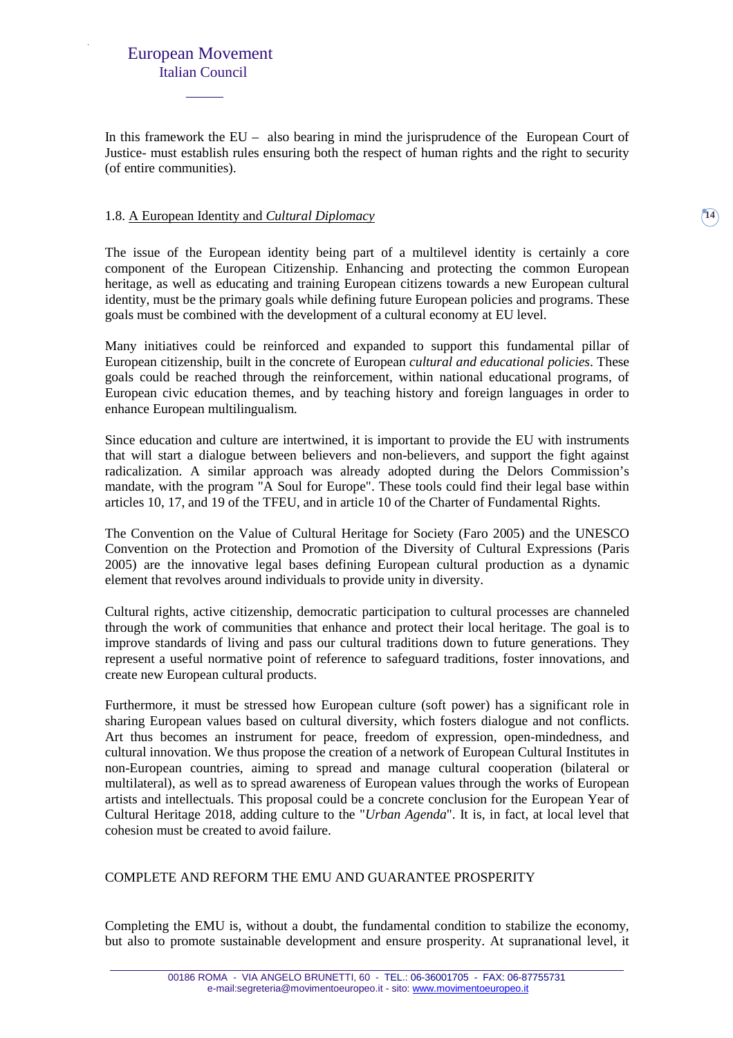In this framework the EU – also bearing in mind the jurisprudence of the European Court of Justice- must establish rules ensuring both the respect of human rights and the right to security (of entire communities).

#### 1.8. A European Identity and *Cultural Diplomacy*

The issue of the European identity being part of a multilevel identity is certainly a core component of the European Citizenship. Enhancing and protecting the common European heritage, as well as educating and training European citizens towards a new European cultural identity, must be the primary goals while defining future European policies and programs. These goals must be combined with the development of a cultural economy at EU level.

Many initiatives could be reinforced and expanded to support this fundamental pillar of European citizenship, built in the concrete of European *cultural and educational policies*. These goals could be reached through the reinforcement, within national educational programs, of European civic education themes, and by teaching history and foreign languages in order to enhance European multilingualism.

Since education and culture are intertwined, it is important to provide the EU with instruments that will start a dialogue between believers and non-believers, and support the fight against radicalization. A similar approach was already adopted during the Delors Commission's mandate, with the program "A Soul for Europe". These tools could find their legal base within articles 10, 17, and 19 of the TFEU, and in article 10 of the Charter of Fundamental Rights.

The Convention on the Value of Cultural Heritage for Society (Faro 2005) and the UNESCO Convention on the Protection and Promotion of the Diversity of Cultural Expressions (Paris 2005) are the innovative legal bases defining European cultural production as a dynamic element that revolves around individuals to provide unity in diversity.

Cultural rights, active citizenship, democratic participation to cultural processes are channeled through the work of communities that enhance and protect their local heritage. The goal is to improve standards of living and pass our cultural traditions down to future generations. They represent a useful normative point of reference to safeguard traditions, foster innovations, and create new European cultural products.

Furthermore, it must be stressed how European culture (soft power) has a significant role in sharing European values based on cultural diversity, which fosters dialogue and not conflicts. Art thus becomes an instrument for peace, freedom of expression, open-mindedness, and cultural innovation. We thus propose the creation of a network of European Cultural Institutes in non-European countries, aiming to spread and manage cultural cooperation (bilateral or multilateral), as well as to spread awareness of European values through the works of European artists and intellectuals. This proposal could be a concrete conclusion for the European Year of Cultural Heritage 2018, adding culture to the "*Urban Agenda*". It is, in fact, at local level that cohesion must be created to avoid failure.

#### COMPLETE AND REFORM THE EMU AND GUARANTEE PROSPERITY

Completing the EMU is, without a doubt, the fundamental condition to stabilize the economy, but also to promote sustainable development and ensure prosperity. At supranational level, it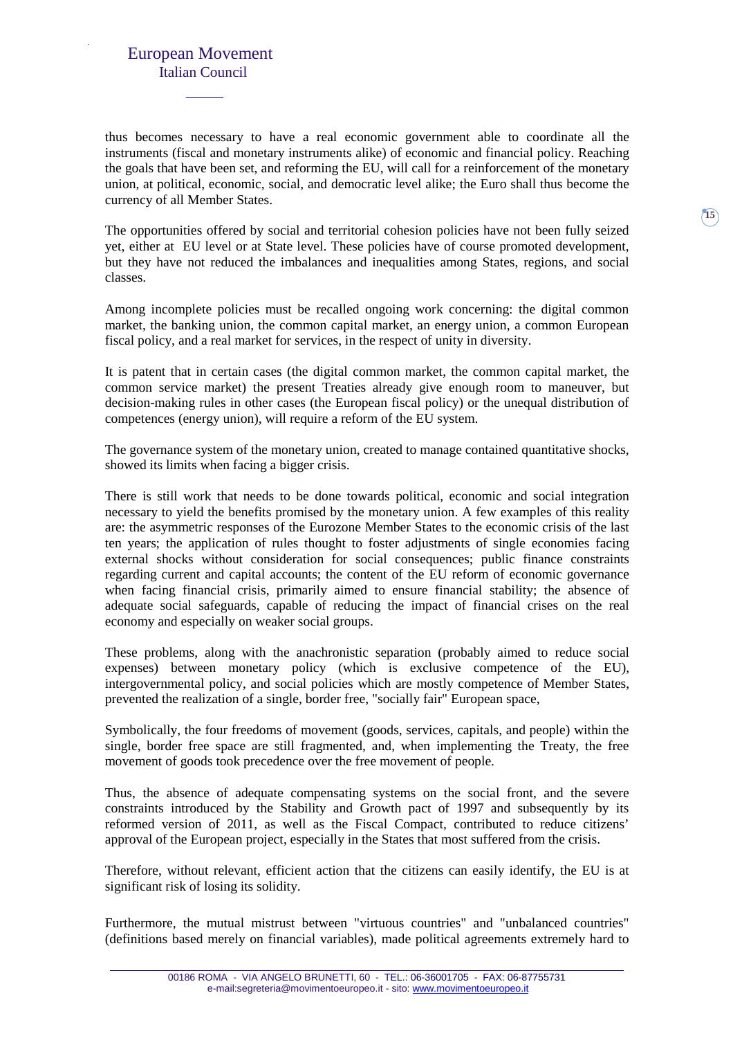thus becomes necessary to have a real economic government able to coordinate all the instruments (fiscal and monetary instruments alike) of economic and financial policy. Reaching the goals that have been set, and reforming the EU, will call for a reinforcement of the monetary union, at political, economic, social, and democratic level alike; the Euro shall thus become the currency of all Member States.

The opportunities offered by social and territorial cohesion policies have not been fully seized yet, either at EU level or at State level. These policies have of course promoted development, but they have not reduced the imbalances and inequalities among States, regions, and social classes.

Among incomplete policies must be recalled ongoing work concerning: the digital common market, the banking union, the common capital market, an energy union, a common European fiscal policy, and a real market for services, in the respect of unity in diversity.

It is patent that in certain cases (the digital common market, the common capital market, the common service market) the present Treaties already give enough room to maneuver, but decision-making rules in other cases (the European fiscal policy) or the unequal distribution of competences (energy union), will require a reform of the EU system.

The governance system of the monetary union, created to manage contained quantitative shocks, showed its limits when facing a bigger crisis.

There is still work that needs to be done towards political, economic and social integration necessary to yield the benefits promised by the monetary union. A few examples of this reality are: the asymmetric responses of the Eurozone Member States to the economic crisis of the last ten years; the application of rules thought to foster adjustments of single economies facing external shocks without consideration for social consequences; public finance constraints regarding current and capital accounts; the content of the EU reform of economic governance when facing financial crisis, primarily aimed to ensure financial stability; the absence of adequate social safeguards, capable of reducing the impact of financial crises on the real economy and especially on weaker social groups.

These problems, along with the anachronistic separation (probably aimed to reduce social expenses) between monetary policy (which is exclusive competence of the EU), intergovernmental policy, and social policies which are mostly competence of Member States, prevented the realization of a single, border free, "socially fair" European space,

Symbolically, the four freedoms of movement (goods, services, capitals, and people) within the single, border free space are still fragmented, and, when implementing the Treaty, the free movement of goods took precedence over the free movement of people.

Thus, the absence of adequate compensating systems on the social front, and the severe constraints introduced by the Stability and Growth pact of 1997 and subsequently by its reformed version of 2011, as well as the Fiscal Compact, contributed to reduce citizens' approval of the European project, especially in the States that most suffered from the crisis.

Therefore, without relevant, efficient action that the citizens can easily identify, the EU is at significant risk of losing its solidity.

Furthermore, the mutual mistrust between "virtuous countries" and "unbalanced countries" (definitions based merely on financial variables), made political agreements extremely hard to **15**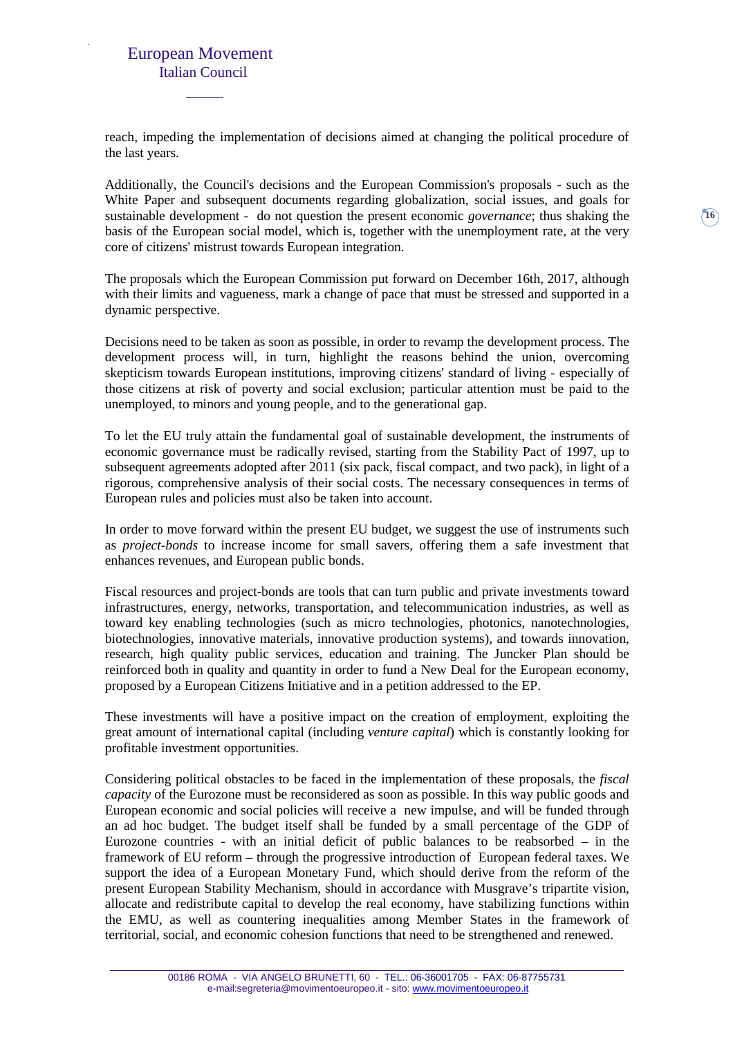reach, impeding the implementation of decisions aimed at changing the political procedure of the last years.

Additionally, the Council's decisions and the European Commission's proposals - such as the White Paper and subsequent documents regarding globalization, social issues, and goals for sustainable development - do not question the present economic *governance*; thus shaking the basis of the European social model, which is, together with the unemployment rate, at the very core of citizens' mistrust towards European integration.

The proposals which the European Commission put forward on December 16th, 2017, although with their limits and vagueness, mark a change of pace that must be stressed and supported in a dynamic perspective.

Decisions need to be taken as soon as possible, in order to revamp the development process. The development process will, in turn, highlight the reasons behind the union, overcoming skepticism towards European institutions, improving citizens' standard of living - especially of those citizens at risk of poverty and social exclusion; particular attention must be paid to the unemployed, to minors and young people, and to the generational gap.

To let the EU truly attain the fundamental goal of sustainable development, the instruments of economic governance must be radically revised, starting from the Stability Pact of 1997, up to subsequent agreements adopted after 2011 (six pack, fiscal compact, and two pack), in light of a rigorous, comprehensive analysis of their social costs. The necessary consequences in terms of European rules and policies must also be taken into account.

In order to move forward within the present EU budget, we suggest the use of instruments such as *project-bonds* to increase income for small savers, offering them a safe investment that enhances revenues, and European public bonds.

Fiscal resources and project-bonds are tools that can turn public and private investments toward infrastructures, energy, networks, transportation, and telecommunication industries, as well as toward key enabling technologies (such as micro technologies, photonics, nanotechnologies, biotechnologies, innovative materials, innovative production systems), and towards innovation, research, high quality public services, education and training. The Juncker Plan should be reinforced both in quality and quantity in order to fund a New Deal for the European economy, proposed by a European Citizens Initiative and in a petition addressed to the EP.

These investments will have a positive impact on the creation of employment, exploiting the great amount of international capital (including *venture capital*) which is constantly looking for profitable investment opportunities.

Considering political obstacles to be faced in the implementation of these proposals, the *fiscal capacity* of the Eurozone must be reconsidered as soon as possible. In this way public goods and European economic and social policies will receive a new impulse, and will be funded through an ad hoc budget. The budget itself shall be funded by a small percentage of the GDP of Eurozone countries - with an initial deficit of public balances to be reabsorbed – in the framework of EU reform – through the progressive introduction of European federal taxes. We support the idea of a European Monetary Fund, which should derive from the reform of the present European Stability Mechanism, should in accordance with Musgrave's tripartite vision, allocate and redistribute capital to develop the real economy, have stabilizing functions within the EMU, as well as countering inequalities among Member States in the framework of territorial, social, and economic cohesion functions that need to be strengthened and renewed.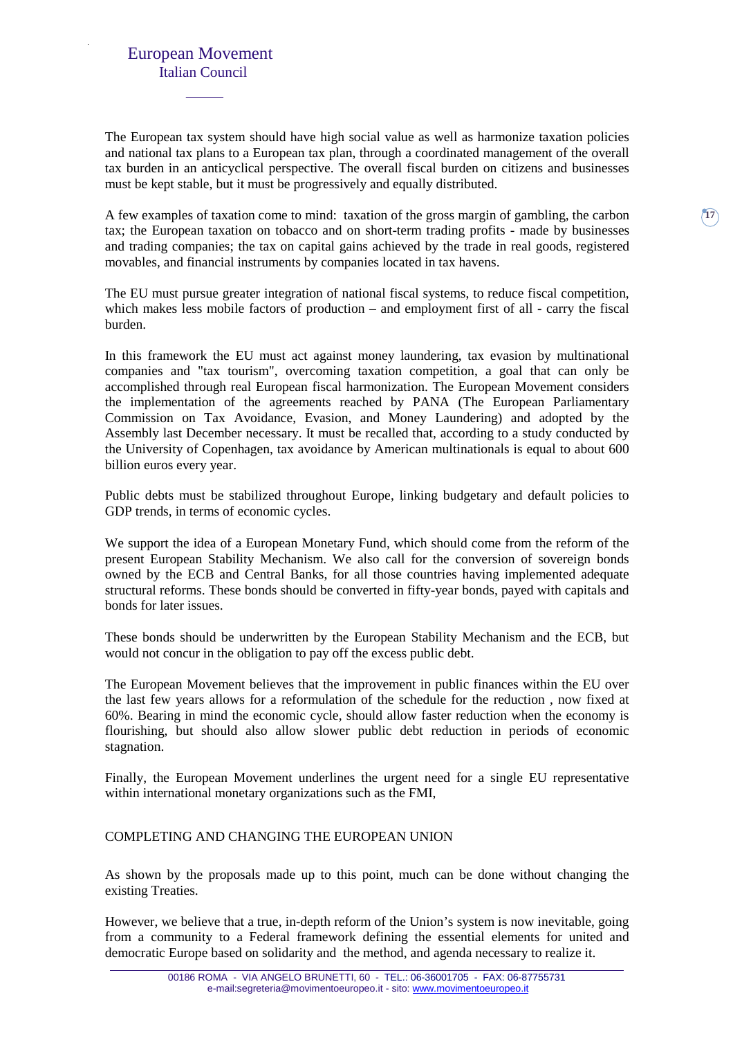The European tax system should have high social value as well as harmonize taxation policies and national tax plans to a European tax plan, through a coordinated management of the overall tax burden in an anticyclical perspective. The overall fiscal burden on citizens and businesses must be kept stable, but it must be progressively and equally distributed.

A few examples of taxation come to mind: taxation of the gross margin of gambling, the carbon tax; the European taxation on tobacco and on short-term trading profits - made by businesses and trading companies; the tax on capital gains achieved by the trade in real goods, registered movables, and financial instruments by companies located in tax havens.

The EU must pursue greater integration of national fiscal systems, to reduce fiscal competition, which makes less mobile factors of production – and employment first of all - carry the fiscal burden.

In this framework the EU must act against money laundering, tax evasion by multinational companies and "tax tourism", overcoming taxation competition, a goal that can only be accomplished through real European fiscal harmonization. The European Movement considers the implementation of the agreements reached by PANA (The European Parliamentary Commission on Tax Avoidance, Evasion, and Money Laundering) and adopted by the Assembly last December necessary. It must be recalled that, according to a study conducted by the University of Copenhagen, tax avoidance by American multinationals is equal to about 600 billion euros every year.

Public debts must be stabilized throughout Europe, linking budgetary and default policies to GDP trends, in terms of economic cycles.

We support the idea of a European Monetary Fund, which should come from the reform of the present European Stability Mechanism. We also call for the conversion of sovereign bonds owned by the ECB and Central Banks, for all those countries having implemented adequate structural reforms. These bonds should be converted in fifty-year bonds, payed with capitals and bonds for later issues.

These bonds should be underwritten by the European Stability Mechanism and the ECB, but would not concur in the obligation to pay off the excess public debt.

The European Movement believes that the improvement in public finances within the EU over the last few years allows for a reformulation of the schedule for the reduction , now fixed at 60%. Bearing in mind the economic cycle, should allow faster reduction when the economy is flourishing, but should also allow slower public debt reduction in periods of economic stagnation.

Finally, the European Movement underlines the urgent need for a single EU representative within international monetary organizations such as the FMI,

#### COMPLETING AND CHANGING THE EUROPEAN UNION

As shown by the proposals made up to this point, much can be done without changing the existing Treaties.

However, we believe that a true, in-depth reform of the Union's system is now inevitable, going from a community to a Federal framework defining the essential elements for united and democratic Europe based on solidarity and the method, and agenda necessary to realize it.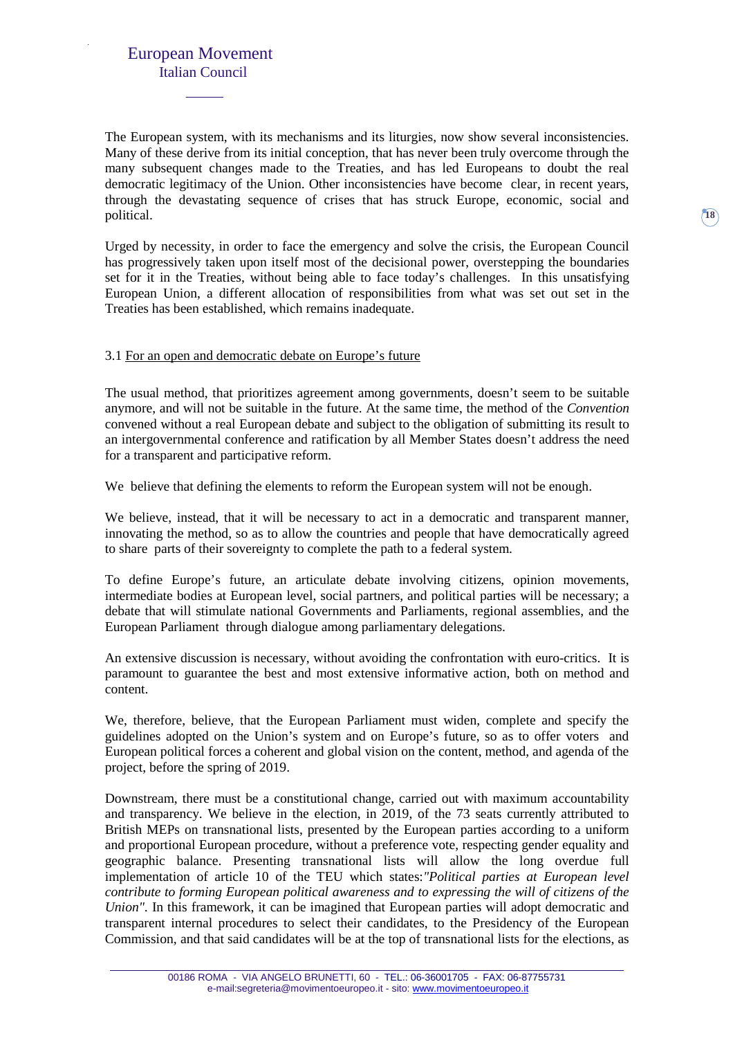The European system, with its mechanisms and its liturgies, now show several inconsistencies. Many of these derive from its initial conception, that has never been truly overcome through the many subsequent changes made to the Treaties, and has led Europeans to doubt the real democratic legitimacy of the Union. Other inconsistencies have become clear, in recent years, through the devastating sequence of crises that has struck Europe, economic, social and political.

Urged by necessity, in order to face the emergency and solve the crisis, the European Council has progressively taken upon itself most of the decisional power, overstepping the boundaries set for it in the Treaties, without being able to face today's challenges. In this unsatisfying European Union, a different allocation of responsibilities from what was set out set in the Treaties has been established, which remains inadequate.

#### 3.1 For an open and democratic debate on Europe's future

The usual method, that prioritizes agreement among governments, doesn't seem to be suitable anymore, and will not be suitable in the future. At the same time, the method of the *Convention* convened without a real European debate and subject to the obligation of submitting its result to an intergovernmental conference and ratification by all Member States doesn't address the need for a transparent and participative reform.

We believe that defining the elements to reform the European system will not be enough.

We believe, instead, that it will be necessary to act in a democratic and transparent manner, innovating the method, so as to allow the countries and people that have democratically agreed to share parts of their sovereignty to complete the path to a federal system.

To define Europe's future, an articulate debate involving citizens, opinion movements, intermediate bodies at European level, social partners, and political parties will be necessary; a debate that will stimulate national Governments and Parliaments, regional assemblies, and the European Parliament through dialogue among parliamentary delegations.

An extensive discussion is necessary, without avoiding the confrontation with euro-critics. It is paramount to guarantee the best and most extensive informative action, both on method and content.

We, therefore, believe, that the European Parliament must widen, complete and specify the guidelines adopted on the Union's system and on Europe's future, so as to offer voters and European political forces a coherent and global vision on the content, method, and agenda of the project, before the spring of 2019.

Downstream, there must be a constitutional change, carried out with maximum accountability and transparency. We believe in the election, in 2019, of the 73 seats currently attributed to British MEPs on transnational lists, presented by the European parties according to a uniform and proportional European procedure, without a preference vote, respecting gender equality and geographic balance. Presenting transnational lists will allow the long overdue full implementation of article 10 of the TEU which states:*"Political parties at European level contribute to forming European political awareness and to expressing the will of citizens of the Union".* In this framework, it can be imagined that European parties will adopt democratic and transparent internal procedures to select their candidates, to the Presidency of the European Commission, and that said candidates will be at the top of transnational lists for the elections, as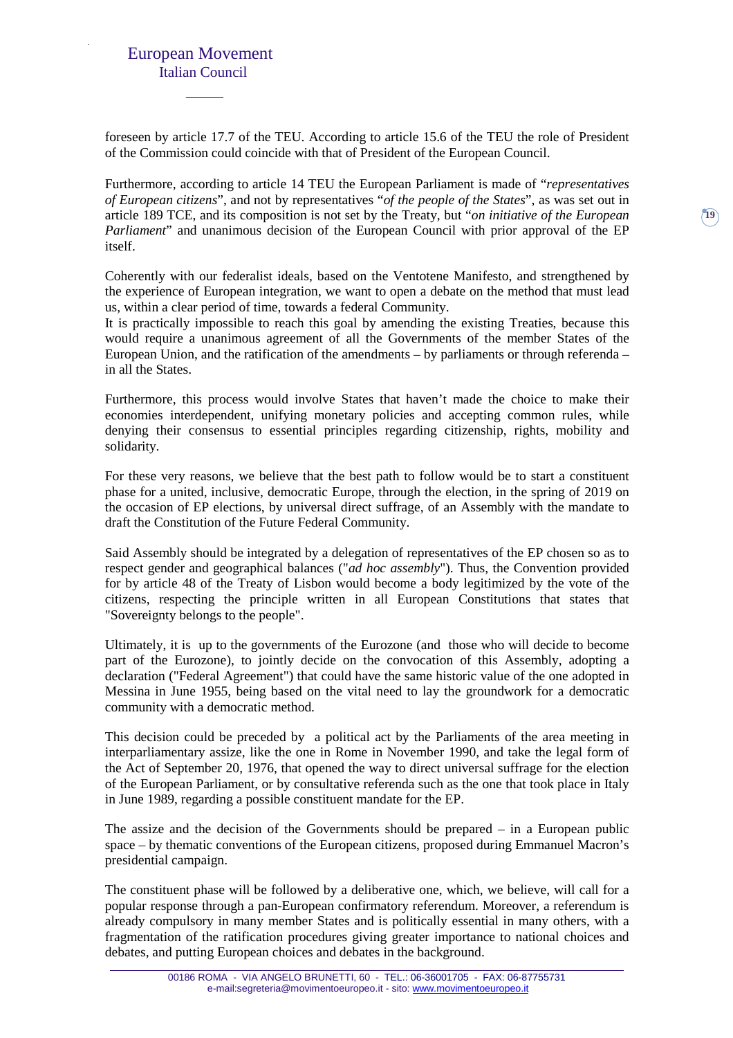foreseen by article 17.7 of the TEU. According to article 15.6 of the TEU the role of President of the Commission could coincide with that of President of the European Council.

Furthermore, according to article 14 TEU the European Parliament is made of "*representatives of European citizens*", and not by representatives "*of the people of the States*", as was set out in article 189 TCE, and its composition is not set by the Treaty, but "*on initiative of the European Parliament*" and unanimous decision of the European Council with prior approval of the EP itself.

Coherently with our federalist ideals, based on the Ventotene Manifesto, and strengthened by the experience of European integration, we want to open a debate on the method that must lead us, within a clear period of time, towards a federal Community.

It is practically impossible to reach this goal by amending the existing Treaties, because this would require a unanimous agreement of all the Governments of the member States of the European Union, and the ratification of the amendments – by parliaments or through referenda – in all the States.

Furthermore, this process would involve States that haven't made the choice to make their economies interdependent, unifying monetary policies and accepting common rules, while denying their consensus to essential principles regarding citizenship, rights, mobility and solidarity.

For these very reasons, we believe that the best path to follow would be to start a constituent phase for a united, inclusive, democratic Europe, through the election, in the spring of 2019 on the occasion of EP elections, by universal direct suffrage, of an Assembly with the mandate to draft the Constitution of the Future Federal Community.

Said Assembly should be integrated by a delegation of representatives of the EP chosen so as to respect gender and geographical balances ("*ad hoc assembly*"). Thus, the Convention provided for by article 48 of the Treaty of Lisbon would become a body legitimized by the vote of the citizens, respecting the principle written in all European Constitutions that states that "Sovereignty belongs to the people".

Ultimately, it is up to the governments of the Eurozone (and those who will decide to become part of the Eurozone), to jointly decide on the convocation of this Assembly, adopting a declaration ("Federal Agreement") that could have the same historic value of the one adopted in Messina in June 1955, being based on the vital need to lay the groundwork for a democratic community with a democratic method.

This decision could be preceded by a political act by the Parliaments of the area meeting in interparliamentary assize, like the one in Rome in November 1990, and take the legal form of the Act of September 20, 1976, that opened the way to direct universal suffrage for the election of the European Parliament, or by consultative referenda such as the one that took place in Italy in June 1989, regarding a possible constituent mandate for the EP.

The assize and the decision of the Governments should be prepared – in a European public space – by thematic conventions of the European citizens, proposed during Emmanuel Macron's presidential campaign.

The constituent phase will be followed by a deliberative one, which, we believe, will call for a popular response through a pan-European confirmatory referendum. Moreover, a referendum is already compulsory in many member States and is politically essential in many others, with a fragmentation of the ratification procedures giving greater importance to national choices and debates, and putting European choices and debates in the background.

**19**